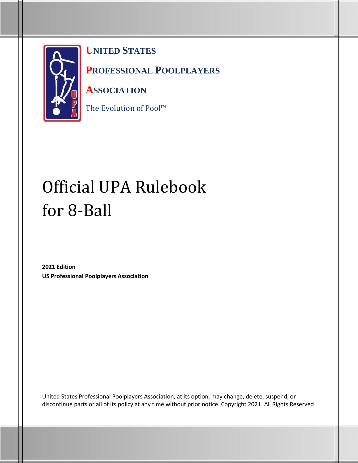

**UNITED STATES** 

**PROFESSIONAL POOLPLAYERS** 

**ASSOCIATION**

The Evolution of Pool™

# Official UPA Rulebook for 8-Ball

**2021 Edition US Professional Poolplayers Association**

United States Professional Poolplayers Association, at its option, may change, delete, suspend, or discontinue parts or all of its policy at any time without prior notice. Copyright 2021. All Rights Reserved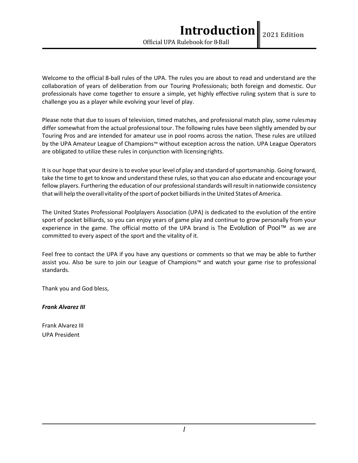Welcome to the official 8-ball rules of the UPA. The rules you are about to read and understand are the collaboration of years of deliberation from our Touring Professionals; both foreign and domestic. Our professionals have come together to ensure a simple, yet highly effective ruling system that is sure to challenge you as a player while evolving your level of play.

Please note that due to issues of television, timed matches, and professional match play, some rulesmay differ somewhat from the actual professional tour. The following rules have been slightly amended by our Touring Pros and are intended for amateur use in pool rooms across the nation. These rules are utilized by the UPA Amateur League of Champions™ without exception across the nation. UPA League Operators are obligated to utilize these rules in conjunction with licensingrights.

It is our hope that your desire is to evolve your level of play and standard of sportsmanship. Going forward, take the time to get to know and understand these rules, so that you can also educate and encourage your fellow players. Furthering the education of our professional standards will result in nationwide consistency that will help the overall vitality of the sport of pocket billiards in the United States of America.

The United States Professional Poolplayers Association (UPA) is dedicated to the evolution of the entire sport of pocket billiards, so you can enjoy years of game play and continue to grow personally from your experience in the game. The official motto of the UPA brand is The Evolution of Pool™ as we are committed to every aspect of the sport and the vitality of it.

Feel free to contact the UPA if you have any questions or comments so that we may be able to further assist you. Also be sure to join our League of Champions™ and watch your game rise to professional standards.

Thank you and God bless,

*Frank Alvarez III*

Frank Alvarez III UPA President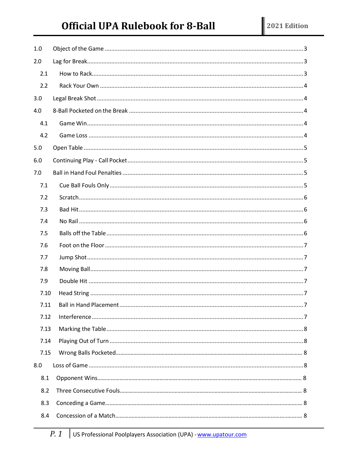# **Official UPA Rulebook for 8-Ball**

| 1.0  |  |
|------|--|
| 2.0  |  |
| 2.1  |  |
| 2.2  |  |
| 3.0  |  |
| 4.0  |  |
| 4.1  |  |
| 4.2  |  |
| 5.0  |  |
| 6.0  |  |
| 7.0  |  |
| 7.1  |  |
| 7.2  |  |
| 7.3  |  |
| 7.4  |  |
| 7.5  |  |
| 7.6  |  |
| 7.7  |  |
| 7.8  |  |
| 7.9  |  |
| 7.10 |  |
| 7.11 |  |
| 7.12 |  |
| 7.13 |  |
| 7.14 |  |
| 7.15 |  |
| 8.0  |  |
| 8.1  |  |
| 8.2  |  |
| 8.3  |  |
| 8.4  |  |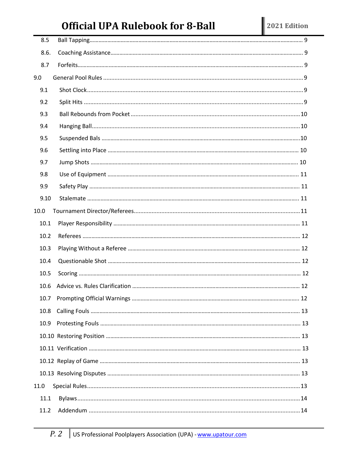# **Official UPA Rulebook for 8-Ball**

| 8.5  |  |
|------|--|
| 8.6. |  |
| 8.7  |  |
| 9.0  |  |
| 9.1  |  |
| 9.2  |  |
| 9.3  |  |
| 9.4  |  |
| 9.5  |  |
| 9.6  |  |
| 9.7  |  |
| 9.8  |  |
| 9.9  |  |
| 9.10 |  |
| 10.0 |  |
| 10.1 |  |
| 10.2 |  |
| 10.3 |  |
| 10.4 |  |
| 10.5 |  |
| 10.6 |  |
|      |  |
| 10.8 |  |
| 10.9 |  |
|      |  |
|      |  |
|      |  |
|      |  |
| 11.0 |  |
| 11.1 |  |
| 11.2 |  |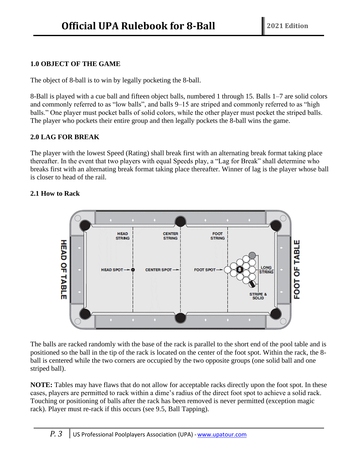# <span id="page-4-0"></span>**1.0 OBJECT OF THE GAME**

The object of 8-ball is to win by legally pocketing the 8-ball.

8-Ball is played with a cue ball and fifteen object balls, numbered 1 through 15. Balls 1–7 are solid colors and commonly referred to as "low balls", and balls 9–15 are striped and commonly referred to as "high balls." One player must pocket balls of solid colors, while the other player must pocket the striped balls. The player who pockets their entire group and then legally pockets the 8-ball wins the game.

# **2.0 LAG FOR BREAK**

The player with the lowest Speed (Rating) shall break first with an alternating break format taking place thereafter. In the event that two players with equal Speeds play, a "Lag for Break" shall determine who breaks first with an alternating break format taking place thereafter. Winner of lag is the player whose ball is closer to head of the rail.

# **2.1 How to Rack**



The balls are racked randomly with the base of the rack is parallel to the short end of the pool table and is positioned so the ball in the tip of the rack is located on the center of the foot spot. Within the rack, the 8 ball is centered while the two corners are occupied by the two opposite groups (one solid ball and one striped ball).

**NOTE:** Tables may have flaws that do not allow for acceptable racks directly upon the foot spot. In these cases, players are permitted to rack within a dime's radius of the direct foot spot to achieve a solid rack. Touching or positioning of balls after the rack has been removed is never permitted (exception magic rack). Player must re-rack if this occurs (see 9.5, Ball Tapping).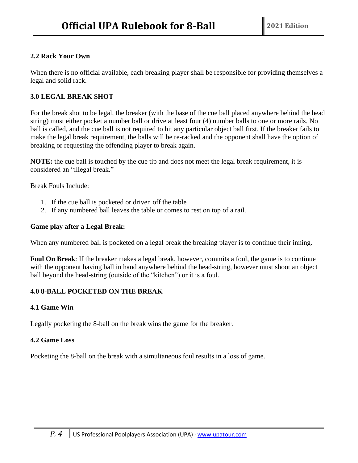# **2.2 Rack Your Own**

When there is no official available, each breaking player shall be responsible for providing themselves a legal and solid rack.

# **3.0 LEGAL BREAK SHOT**

For the break shot to be legal, the breaker (with the base of the cue ball placed anywhere behind the head string) must either pocket a number ball or drive at least four (4) number balls to one or more rails. No ball is called, and the cue ball is not required to hit any particular object ball first. If the breaker fails to make the legal break requirement, the balls will be re-racked and the opponent shall have the option of breaking or requesting the offending player to break again.

**NOTE:** the cue ball is touched by the cue tip and does not meet the legal break requirement, it is considered an "illegal break."

Break Fouls Include:

- 1. If the cue ball is pocketed or driven off the table
- 2. If any numbered ball leaves the table or comes to rest on top of a rail.

#### **Game play after a Legal Break:**

When any numbered ball is pocketed on a legal break the breaking player is to continue their inning.

**Foul On Break**: If the breaker makes a legal break, however, commits a foul, the game is to continue with the opponent having ball in hand anywhere behind the head-string, however must shoot an object ball beyond the head-string (outside of the "kitchen") or it is a foul.

# **4.0 8-BALL POCKETED ON THE BREAK**

# **4.1 Game Win**

Legally pocketing the 8-ball on the break wins the game for the breaker.

#### **4.2 Game Loss**

Pocketing the 8-ball on the break with a simultaneous foul results in a loss of game.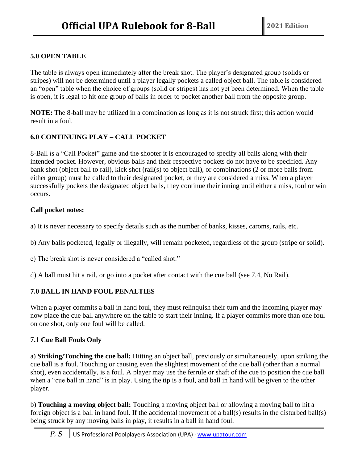# **5.0 OPEN TABLE**

The table is always open immediately after the break shot. The player's designated group (solids or stripes) will not be determined until a player legally pockets a called object ball. The table is considered an "open" table when the choice of groups (solid or stripes) has not yet been determined. When the table is open, it is legal to hit one group of balls in order to pocket another ball from the opposite group.

**NOTE:** The 8-ball may be utilized in a combination as long as it is not struck first; this action would result in a foul.

# **6.0 CONTINUING PLAY – CALL POCKET**

8-Ball is a "Call Pocket" game and the shooter it is encouraged to specify all balls along with their intended pocket. However, obvious balls and their respective pockets do not have to be specified. Any bank shot (object ball to rail), kick shot (rail(s) to object ball), or combinations (2 or more balls from either group) must be called to their designated pocket, or they are considered a miss. When a player successfully pockets the designated object balls, they continue their inning until either a miss, foul or win occurs.

# **Call pocket notes:**

a) It is never necessary to specify details such as the number of banks, kisses, caroms, rails, etc.

b) Any balls pocketed, legally or illegally, will remain pocketed, regardless of the group (stripe or solid).

c) The break shot is never considered a "called shot."

d) A ball must hit a rail, or go into a pocket after contact with the cue ball (see 7.4, No Rail).

# **7.0 BALL IN HAND FOUL PENALTIES**

When a player commits a ball in hand foul, they must relinquish their turn and the incoming player may now place the cue ball anywhere on the table to start their inning. If a player commits more than one foul on one shot, only one foul will be called.

# **7.1 Cue Ball Fouls Only**

a) **Striking/Touching the cue ball:** Hitting an object ball, previously or simultaneously, upon striking the cue ball is a foul. Touching or causing even the slightest movement of the cue ball (other than a normal shot), even accidentally, is a foul. A player may use the ferrule or shaft of the cue to position the cue ball when a "cue ball in hand" is in play. Using the tip is a foul, and ball in hand will be given to the other player.

b) **Touching a moving object ball:** Touching a moving object ball or allowing a moving ball to hit a foreign object is a ball in hand foul. If the accidental movement of a ball(s) results in the disturbed ball(s) being struck by any moving balls in play, it results in a ball in hand foul.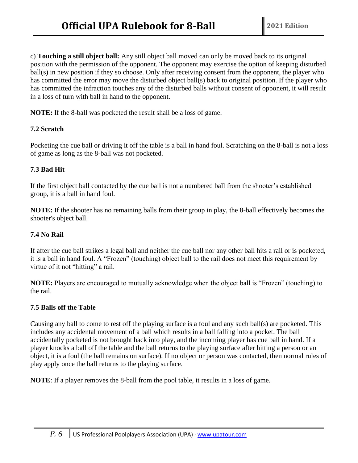c) **Touching a still object ball:** Any still object ball moved can only be moved back to its original position with the permission of the opponent. The opponent may exercise the option of keeping disturbed ball(s) in new position if they so choose. Only after receiving consent from the opponent, the player who has committed the error may move the disturbed object ball(s) back to original position. If the player who has committed the infraction touches any of the disturbed balls without consent of opponent, it will result in a loss of turn with ball in hand to the opponent.

**NOTE:** If the 8-ball was pocketed the result shall be a loss of game.

# **7.2 Scratch**

Pocketing the cue ball or driving it off the table is a ball in hand foul. Scratching on the 8-ball is not a loss of game as long as the 8-ball was not pocketed.

# **7.3 Bad Hit**

If the first object ball contacted by the cue ball is not a numbered ball from the shooter's established group, it is a ball in hand foul.

**NOTE:** If the shooter has no remaining balls from their group in play, the 8-ball effectively becomes the shooter's object ball.

# **7.4 No Rail**

If after the cue ball strikes a legal ball and neither the cue ball nor any other ball hits a rail or is pocketed, it is a ball in hand foul. A "Frozen" (touching) object ball to the rail does not meet this requirement by virtue of it not "hitting" a rail.

**NOTE:** Players are encouraged to mutually acknowledge when the object ball is "Frozen" (touching) to the rail.

# **7.5 Balls off the Table**

Causing any ball to come to rest off the playing surface is a foul and any such ball(s) are pocketed. This includes any accidental movement of a ball which results in a ball falling into a pocket. The ball accidentally pocketed is not brought back into play, and the incoming player has cue ball in hand. If a player knocks a ball off the table and the ball returns to the playing surface after hitting a person or an object, it is a foul (the ball remains on surface). If no object or person was contacted, then normal rules of play apply once the ball returns to the playing surface.

**NOTE**: If a player removes the 8-ball from the pool table, it results in a loss of game.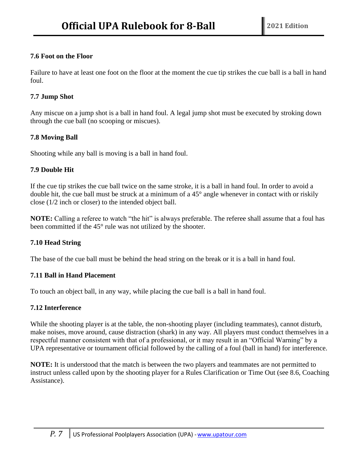# **7.6 Foot on the Floor**

Failure to have at least one foot on the floor at the moment the cue tip strikes the cue ball is a ball in hand foul.

# **7.7 Jump Shot**

Any miscue on a jump shot is a ball in hand foul. A legal jump shot must be executed by stroking down through the cue ball (no scooping or miscues).

# **7.8 Moving Ball**

Shooting while any ball is moving is a ball in hand foul.

# **7.9 Double Hit**

If the cue tip strikes the cue ball twice on the same stroke, it is a ball in hand foul. In order to avoid a double hit, the cue ball must be struck at a minimum of a 45° angle whenever in contact with or riskily close (1/2 inch or closer) to the intended object ball.

**NOTE:** Calling a referee to watch "the hit" is always preferable. The referee shall assume that a foul has been committed if the 45° rule was not utilized by the shooter.

# **7.10 Head String**

The base of the cue ball must be behind the head string on the break or it is a ball in hand foul.

# **7.11 Ball in Hand Placement**

To touch an object ball, in any way, while placing the cue ball is a ball in hand foul.

# **7.12 Interference**

While the shooting player is at the table, the non-shooting player (including teammates), cannot disturb, make noises, move around, cause distraction (shark) in any way. All players must conduct themselves in a respectful manner consistent with that of a professional, or it may result in an "Official Warning" by a UPA representative or tournament official followed by the calling of a foul (ball in hand) for interference.

**NOTE:** It is understood that the match is between the two players and teammates are not permitted to instruct unless called upon by the shooting player for a Rules Clarification or Time Out (see 8.6, Coaching Assistance).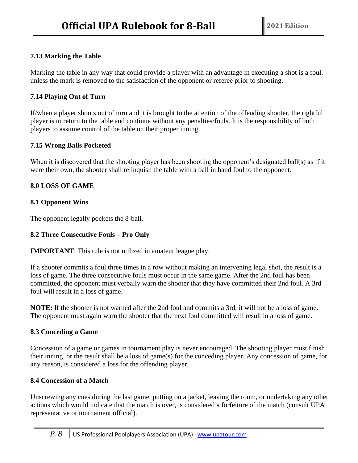# **7.13 Marking the Table**

Marking the table in any way that could provide a player with an advantage in executing a shot is a foul, unless the mark is removed to the satisfaction of the opponent or referee prior to shooting.

# **7.14 Playing Out of Turn**

If/when a player shoots out of turn and it is brought to the attention of the offending shooter, the rightful player is to return to the table and continue without any penalties/fouls. It is the responsibility of both players to assume control of the table on their proper inning.

# **7.15 Wrong Balls Pocketed**

When it is discovered that the shooting player has been shooting the opponent's designated ball(s) as if it were their own, the shooter shall relinquish the table with a ball in hand foul to the opponent.

# **8.0 LOSS OF GAME**

# **8.1 Opponent Wins**

The opponent legally pockets the 8-ball.

# **8.2 Three Consecutive Fouls – Pro Only**

**IMPORTANT**: This rule is not utilized in amateur league play.

If a shooter commits a foul three times in a row without making an intervening legal shot, the result is a loss of game. The three consecutive fouls must occur in the same game. After the 2nd foul has been committed, the opponent must verbally warn the shooter that they have committed their 2nd foul. A 3rd foul will result in a loss of game.

**NOTE:** If the shooter is not warned after the 2nd foul and commits a 3rd, it will not be a loss of game. The opponent must again warn the shooter that the next foul committed will result in a loss of game.

# **8.3 Conceding a Game**

Concession of a game or games in tournament play is never encouraged. The shooting player must finish their inning, or the result shall be a loss of game(s) for the conceding player. Any concession of game, for any reason, is considered a loss for the offending player.

# **8.4 Concession of a Match**

Unscrewing any cues during the last game, putting on a jacket, leaving the room, or undertaking any other actions which would indicate that the match is over, is considered a forfeiture of the match (consult UPA representative or tournament official).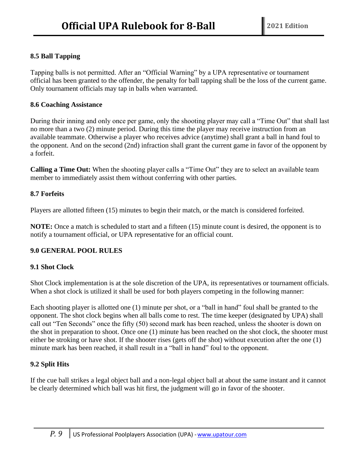# **8.5 Ball Tapping**

Tapping balls is not permitted. After an "Official Warning" by a UPA representative or tournament official has been granted to the offender, the penalty for ball tapping shall be the loss of the current game. Only tournament officials may tap in balls when warranted.

#### **8.6 Coaching Assistance**

During their inning and only once per game, only the shooting player may call a "Time Out" that shall last no more than a two (2) minute period. During this time the player may receive instruction from an available teammate. Otherwise a player who receives advice (anytime) shall grant a ball in hand foul to the opponent. And on the second (2nd) infraction shall grant the current game in favor of the opponent by a forfeit.

**Calling a Time Out:** When the shooting player calls a "Time Out" they are to select an available team member to immediately assist them without conferring with other parties.

# **8.7 Forfeits**

Players are allotted fifteen (15) minutes to begin their match, or the match is considered forfeited.

**NOTE:** Once a match is scheduled to start and a fifteen (15) minute count is desired, the opponent is to notify a tournament official, or UPA representative for an official count.

# **9.0 GENERAL POOL RULES**

# **9.1 Shot Clock**

Shot Clock implementation is at the sole discretion of the UPA, its representatives or tournament officials. When a shot clock is utilized it shall be used for both players competing in the following manner:

Each shooting player is allotted one (1) minute per shot, or a "ball in hand" foul shall be granted to the opponent. The shot clock begins when all balls come to rest. The time keeper (designated by UPA) shall call out "Ten Seconds" once the fifty (50) second mark has been reached, unless the shooter is down on the shot in preparation to shoot. Once one (1) minute has been reached on the shot clock, the shooter must either be stroking or have shot. If the shooter rises (gets off the shot) without execution after the one (1) minute mark has been reached, it shall result in a "ball in hand" foul to the opponent.

# **9.2 Split Hits**

If the cue ball strikes a legal object ball and a non-legal object ball at about the same instant and it cannot be clearly determined which ball was hit first, the judgment will go in favor of the shooter.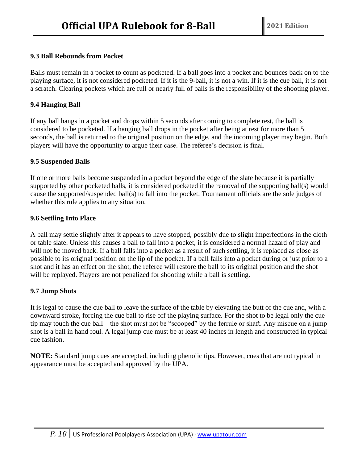# **9.3 Ball Rebounds from Pocket**

Balls must remain in a pocket to count as pocketed. If a ball goes into a pocket and bounces back on to the playing surface, it is not considered pocketed. If it is the 9-ball, it is not a win. If it is the cue ball, it is not a scratch. Clearing pockets which are full or nearly full of balls is the responsibility of the shooting player.

# **9.4 Hanging Ball**

If any ball hangs in a pocket and drops within 5 seconds after coming to complete rest, the ball is considered to be pocketed. If a hanging ball drops in the pocket after being at rest for more than 5 seconds, the ball is returned to the original position on the edge, and the incoming player may begin. Both players will have the opportunity to argue their case. The referee's decision is final.

# **9.5 Suspended Balls**

If one or more balls become suspended in a pocket beyond the edge of the slate because it is partially supported by other pocketed balls, it is considered pocketed if the removal of the supporting ball(s) would cause the supported/suspended ball(s) to fall into the pocket. Tournament officials are the sole judges of whether this rule applies to any situation.

# **9.6 Settling Into Place**

A ball may settle slightly after it appears to have stopped, possibly due to slight imperfections in the cloth or table slate. Unless this causes a ball to fall into a pocket, it is considered a normal hazard of play and will not be moved back. If a ball falls into a pocket as a result of such settling, it is replaced as close as possible to its original position on the lip of the pocket. If a ball falls into a pocket during or just prior to a shot and it has an effect on the shot, the referee will restore the ball to its original position and the shot will be replayed. Players are not penalized for shooting while a ball is settling.

# **9.7 Jump Shots**

It is legal to cause the cue ball to leave the surface of the table by elevating the butt of the cue and, with a downward stroke, forcing the cue ball to rise off the playing surface. For the shot to be legal only the cue tip may touch the cue ball—the shot must not be "scooped" by the ferrule or shaft. Any miscue on a jump shot is a ball in hand foul. A legal jump cue must be at least 40 inches in length and constructed in typical cue fashion.

**NOTE:** Standard jump cues are accepted, including phenolic tips. However, cues that are not typical in appearance must be accepted and approved by the UPA.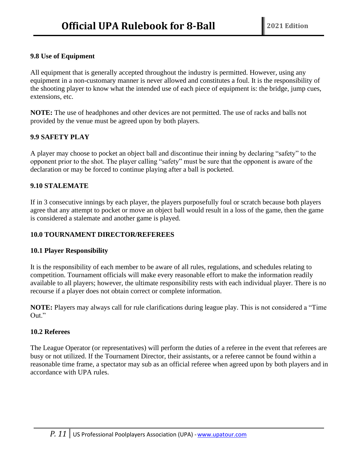# **9.8 Use of Equipment**

All equipment that is generally accepted throughout the industry is permitted. However, using any equipment in a non-customary manner is never allowed and constitutes a foul. It is the responsibility of the shooting player to know what the intended use of each piece of equipment is: the bridge, jump cues, extensions, etc.

**NOTE:** The use of headphones and other devices are not permitted. The use of racks and balls not provided by the venue must be agreed upon by both players.

# **9.9 SAFETY PLAY**

A player may choose to pocket an object ball and discontinue their inning by declaring "safety" to the opponent prior to the shot. The player calling "safety" must be sure that the opponent is aware of the declaration or may be forced to continue playing after a ball is pocketed.

# **9.10 STALEMATE**

If in 3 consecutive innings by each player, the players purposefully foul or scratch because both players agree that any attempt to pocket or move an object ball would result in a loss of the game, then the game is considered a stalemate and another game is played.

#### **10.0 TOURNAMENT DIRECTOR/REFEREES**

# **10.1 Player Responsibility**

It is the responsibility of each member to be aware of all rules, regulations, and schedules relating to competition. Tournament officials will make every reasonable effort to make the information readily available to all players; however, the ultimate responsibility rests with each individual player. There is no recourse if a player does not obtain correct or complete information.

**NOTE:** Players may always call for rule clarifications during league play. This is not considered a "Time Out."

# **10.2 Referees**

The League Operator (or representatives) will perform the duties of a referee in the event that referees are busy or not utilized. If the Tournament Director, their assistants, or a referee cannot be found within a reasonable time frame, a spectator may sub as an official referee when agreed upon by both players and in accordance with UPA rules.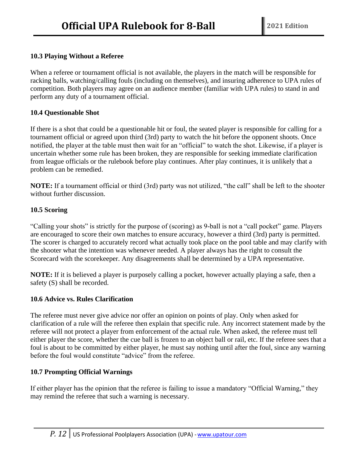# **10.3 Playing Without a Referee**

When a referee or tournament official is not available, the players in the match will be responsible for racking balls, watching/calling fouls (including on themselves), and insuring adherence to UPA rules of competition. Both players may agree on an audience member (familiar with UPA rules) to stand in and perform any duty of a tournament official.

# **10.4 Questionable Shot**

If there is a shot that could be a questionable hit or foul, the seated player is responsible for calling for a tournament official or agreed upon third (3rd) party to watch the hit before the opponent shoots. Once notified, the player at the table must then wait for an "official" to watch the shot. Likewise, if a player is uncertain whether some rule has been broken, they are responsible for seeking immediate clarification from league officials or the rulebook before play continues. After play continues, it is unlikely that a problem can be remedied.

**NOTE:** If a tournament official or third (3rd) party was not utilized, "the call" shall be left to the shooter without further discussion.

# **10.5 Scoring**

"Calling your shots" is strictly for the purpose of (scoring) as 9-ball is not a "call pocket" game. Players are encouraged to score their own matches to ensure accuracy, however a third (3rd) party is permitted. The scorer is charged to accurately record what actually took place on the pool table and may clarify with the shooter what the intention was whenever needed. A player always has the right to consult the Scorecard with the scorekeeper. Any disagreements shall be determined by a UPA representative.

**NOTE:** If it is believed a player is purposely calling a pocket, however actually playing a safe, then a safety (S) shall be recorded.

# **10.6 Advice vs. Rules Clarification**

The referee must never give advice nor offer an opinion on points of play. Only when asked for clarification of a rule will the referee then explain that specific rule. Any incorrect statement made by the referee will not protect a player from enforcement of the actual rule. When asked, the referee must tell either player the score, whether the cue ball is frozen to an object ball or rail, etc. If the referee sees that a foul is about to be committed by either player, he must say nothing until after the foul, since any warning before the foul would constitute "advice" from the referee.

# **10.7 Prompting Official Warnings**

If either player has the opinion that the referee is failing to issue a mandatory "Official Warning," they may remind the referee that such a warning is necessary.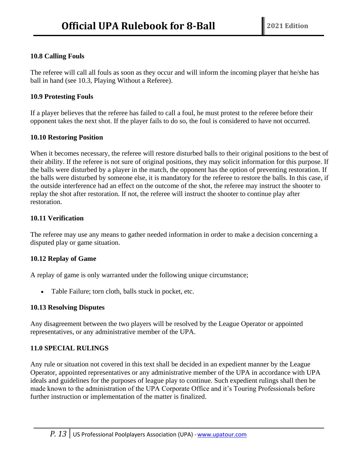# **10.8 Calling Fouls**

The referee will call all fouls as soon as they occur and will inform the incoming player that he/she has ball in hand (see 10.3, Playing Without a Referee).

# **10.9 Protesting Fouls**

If a player believes that the referee has failed to call a foul, he must protest to the referee before their opponent takes the next shot. If the player fails to do so, the foul is considered to have not occurred.

# **10.10 Restoring Position**

When it becomes necessary, the referee will restore disturbed balls to their original positions to the best of their ability. If the referee is not sure of original positions, they may solicit information for this purpose. If the balls were disturbed by a player in the match, the opponent has the option of preventing restoration. If the balls were disturbed by someone else, it is mandatory for the referee to restore the balls. In this case, if the outside interference had an effect on the outcome of the shot, the referee may instruct the shooter to replay the shot after restoration. If not, the referee will instruct the shooter to continue play after restoration.

# **10.11 Verification**

The referee may use any means to gather needed information in order to make a decision concerning a disputed play or game situation.

# **10.12 Replay of Game**

A replay of game is only warranted under the following unique circumstance;

• Table Failure; torn cloth, balls stuck in pocket, etc.

# **10.13 Resolving Disputes**

Any disagreement between the two players will be resolved by the League Operator or appointed representatives, or any administrative member of the UPA.

# **11.0 SPECIAL RULINGS**

Any rule or situation not covered in this text shall be decided in an expedient manner by the League Operator, appointed representatives or any administrative member of the UPA in accordance with UPA ideals and guidelines for the purposes of league play to continue. Such expedient rulings shall then be made known to the administration of the UPA Corporate Office and it's Touring Professionals before further instruction or implementation of the matter is finalized.